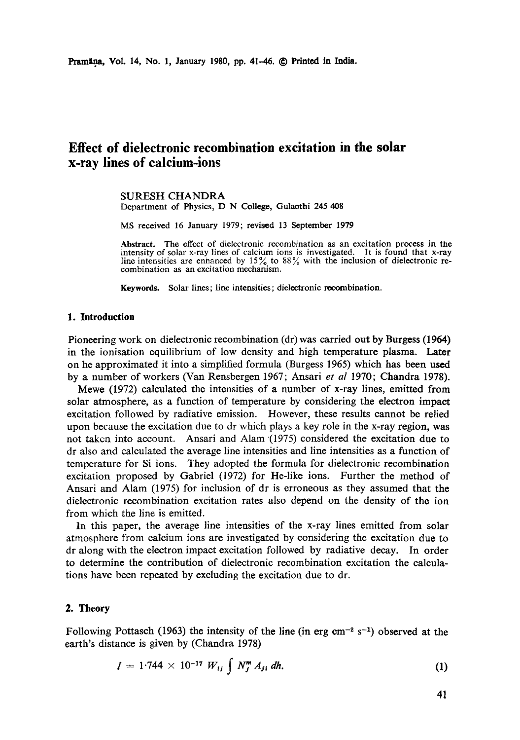# **Effect of dielectronic recombination excitation in the solar x-ray lines of calcium-ions**

#### **SURESH** CHANDRA Department of Physics, D N College, Gulaothi 245 408

MS received 16 January 1979; revised 13 September 1979

**Abstract.** The effect of dielectronic recombination as an excitation process in **the**  intensity of solar x-ray lines of calcium ions is investigated. It is found that x-ray line intensities are enhanced by  $15\%$  to  $88\%$  with the inclusion of dielectronic recombination as an excitation mechanism.

Keywords. Solar lines; line intensities; dielectronic recombination.

## **1. Introduction**

Pioneering work on dielectronic recombination (dr) was carried out by Burgess (1964) in the ionisation equilibrium of low density and high temperature plasma. Later on he approximated it into a simplified formula (Burgess 1965) which has been used by a number of workers (Van Rensbergen 1967; Ansari *et al* 1970; Chandra 1978).

Mewe (1972) calculated the intensities of a number of x-ray lines, emitted from solar atmosphere, as a function of temperature by considering the electron impact excitation followed by radiative emission. However, these results cannot be relied upon because the excitation due to dr which plays a key role in the x-ray region, was not taken into account. Ansari and Alam (1975) considered the excitation due to dr also and calculated the average line intensities and line intensities as a function of temperature for Si ions. They adopted the formula for dielectronic recombination excitation proposed by Gabriel (1972) for He-like ions. Further the method of Ansari and Alam (1975) for inclusion of dr is erroneous as they assumed that the dielectronic recombination excitation rates also depend on the density of the ion from which the line is emitted.

In this paper, the average line intensities of the x-ray lines emitted from solar atmosphere from calcium ions are investigated by considering the excitation due to dr along with the electron impact excitation followed by radiative decay. In order to determine the contribution of dielectronic recombination excitation the calculations have been repeated by excluding the excitation due to dr.

## 2. Theory

Following Pottasch (1963) the intensity of the line (in erg cm<sup>-2</sup> s<sup>-1</sup>) observed at the earth's distance is given by (Chandra 1978)

$$
I = 1.744 \times 10^{-17} W_{ij} \int N_j^m A_{ji} dh.
$$
 (1)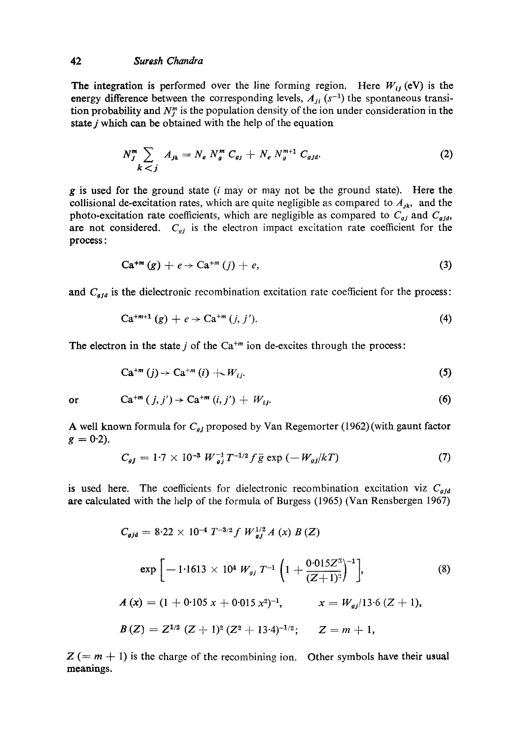#### 42 *Suresh Chandra*

The integration is performed over the line forming region. Here  $W_{ij}$  (eV) is the energy difference between the corresponding levels,  $A_{ji}$  (s<sup>-1</sup>) the spontaneous transition probability and  $N_j^n$  is the population density of the ion under consideration in the state  $j$  which can be obtained with the help of the equation

$$
N_j^m \sum_{k < j} A_{jk} = N_e \, N_g^m \, C_{gj} + N_e \, N_g^{m+1} \, C_{gjd}.\tag{2}
$$

 $g$  is used for the ground state ( $i$  may or may not be the ground state). Here the collisional de-excitation rates, which are quite negligible as compared to  $A_{jk}$ , and the photo-excitation rate coefficients, which are negligible as compared to  $C_{gj}$  and  $C_{gjd}$ , are not considered.  $C_{qj}$  is the electron impact excitation rate coefficient for the process:

$$
Ca^{+m}(g) + e \rightarrow Ca^{+m}(j) + e, \qquad (3)
$$

and *C<sub>gjd</sub>* is the dielectronic recombination excitation rate coefficient for the process:

$$
Ca^{+m+1}(g) + e \to Ca^{+m}(j, j'). \tag{4}
$$

The electron in the state  $j$  of the  $Ca^{+m}$  ion de-excites through the process:

$$
Ca^{+m}(j) \rightarrow Ca^{+m}(i) + W_{ij}.
$$
 (5)

or

$$
\mathrm{Ca}^{+m}(j,j') \rightarrow \mathrm{Ca}^{+m}(i,j') + W_{ij}.\tag{6}
$$

A well known formula for  $C_{gj}$  proposed by Van Regemorter (1962) (with gaunt factor  $g = 0.2$ ).

$$
C_{gj} = 1.7 \times 10^{-3} W_{gj}^{-1} T^{-1/2} f \bar{g} \exp(-W_{gj}/kT)
$$
 (7)

is used here. The coefficients for dielectronic recombination excitation viz  $C_{g/d}$ are calculated with the help of the formula of Burgess (1965) (Van Rensbergen 1967)

$$
C_{gjd} = 8.22 \times 10^{-4} T^{-3/2} f W_{gj}^{1/2} A (x) B (Z)
$$
  
\n
$$
\exp \left[ -1.1613 \times 10^{4} W_{gj} T^{-1} \left( 1 + \frac{0.015 Z^{3}}{(Z+1)^{2}} \right)^{-1} \right],
$$
\n(8)  
\n
$$
A (x) = (1 + 0.105 x + 0.015 x^{2})^{-1},
$$
\n
$$
x = W_{gj}/13.6 (Z+1),
$$
  
\n
$$
B (Z) = Z^{1/2} (Z+1)^{2} (Z^{2}+13.4)^{-1/2};
$$
\n
$$
Z = m + 1,
$$

 $Z (= m + 1)$  is the charge of the recombining ion. Other symbols have their usual meanings.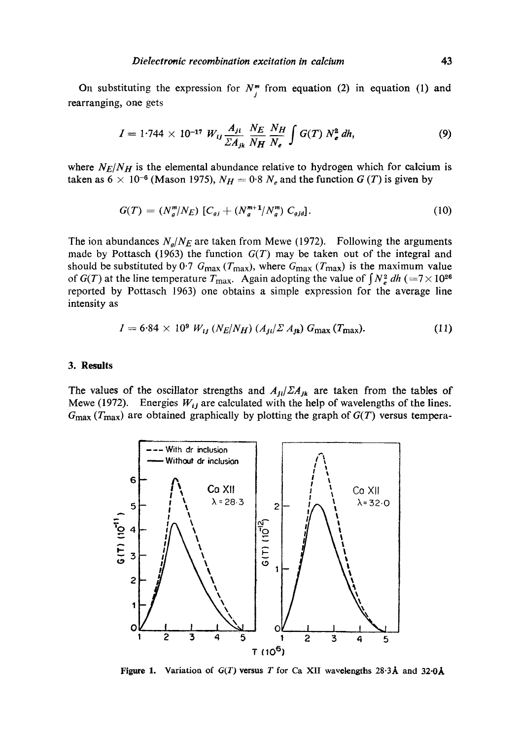On substituting the expression for  $N^m$  from equation (2) in equation (1) and rearranging, one gets

$$
I = 1.744 \times 10^{-17} W_{ij} \frac{A_{ji}}{\Sigma A_{jk}} \frac{N_E}{N_H} \frac{N_H}{N_e} \int G(T) N_e^2 dh,
$$
 (9)

where  $N_E/N_H$  is the elemental abundance relative to hydrogen which for calcium is taken as  $6 \times 10^{-6}$  (Mason 1975),  $N_H = 0.8 N_e$  and the function  $G(T)$  is given by

$$
G(T) = (N_g^m / N_E) [C_{gj} + (N_g^{m+1} / N_g^m) C_{gjd}].
$$
 (10)

The ion abundances  $N_g/N_E$  are taken from Mewe (1972). Following the arguments made by Pottasch (1963) the function *G(T)* may be taken out of the integral and should be substituted by 0.7  $G_{\text{max}}$  ( $T_{\text{max}}$ ), where  $G_{\text{max}}$  ( $T_{\text{max}}$ ) is the maximum value of *G(T)* at the line temperature  $T_{\text{max}}$ . Again adopting the value of  $\int N_e^2 dh (=7 \times 10^{26}$ reported by Pottasch 1963) one obtains a simple expression for the average line intensity as

$$
I = 6.84 \times 10^9 \ W_{ij} \ (N_E/N_H) \ (A_{ji}/\Sigma \ A_{jk}) \ G_{\text{max}} \ (T_{\text{max}}). \tag{11}
$$

### **3. Results**

The values of the oscillator strengths and  $A_{ji}/\Sigma A_{jk}$  are taken from the tables of Mewe (1972). Energies  $W_{ij}$  are calculated with the help of wavelengths of the lines.  $G_{\text{max}}(T_{\text{max}})$  are obtained graphically by plotting the graph of  $G(T)$  versus tempera-



Figure 1. Variation of  $G(T)$  versus T for Ca XII wavelengths  $28.3\text{\AA}$  and  $32.0\text{\AA}$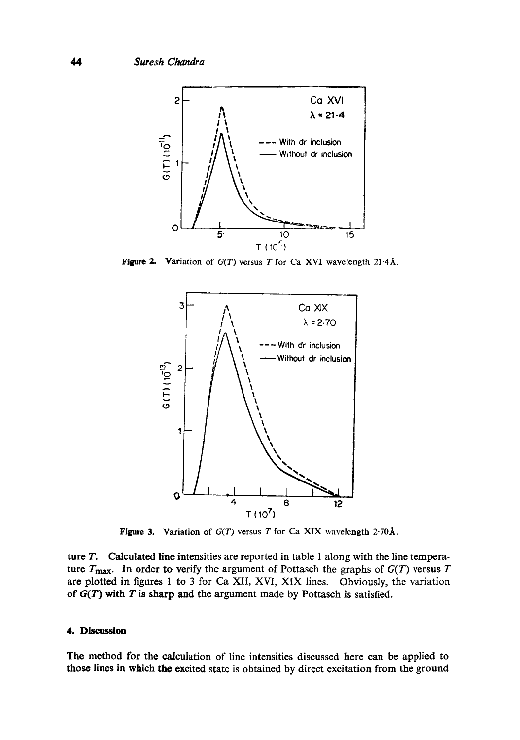

**Figure 2.** Variation of  $G(T)$  versus T for Ca XVI wavelength 21.4Å.



**Figure 3.** Variation of  $G(T)$  versus T for Ca XIX wavelength 2.70Å.

ture T. Calculated line intensities are reported in table 1 along with the line temperature  $T_{\text{max}}$ . In order to verify the argument of Pottasch the graphs of  $G(T)$  versus  $T$ are plotted in figures 1 to 3 for Ca XII, XVI, XIX lines. Obviously, the variation of  $G(T)$  with T is sharp and the argument made by Pottasch is satisfied.

# **4. Discussion**

The method for the calculation of line intensities discussed here can be applied to those lines in whieh the excited state is obtained by direct excitation from the ground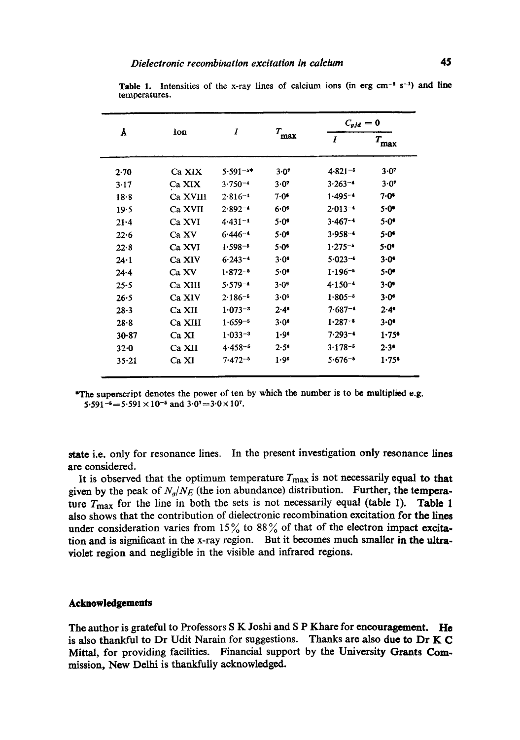| Å         | Ion      | 1            | $T_{\mbox{\small max}}$ | $C_{gjd} = 0$    |                                 |
|-----------|----------|--------------|-------------------------|------------------|---------------------------------|
|           |          |              |                         | $\boldsymbol{I}$ | $T_{\hbox{\footnotesize{max}}}$ |
| 2.70      | Ca XIX   | $5.591 - 5*$ | 3.07                    | $4.821 -$        | 3.07                            |
| 3.17      | Ca XIX   | $3.750 - 4$  | 3.07                    | $3.263 - 4$      | $3 - 07$                        |
| 18.8      | Ca XVIII | $2.816 - 4$  | $7.0$ *                 | $1.495 - 4$      | $7 - 0$ *                       |
| 19.5      | Ca XVII  | $2.892 - 4$  | $6.0$ <sup>6</sup>      | $2.013 - 4$      | $5 - 0$                         |
| $21 - 4$  | Ca XVI   | $4.431 - 4$  | $5.0$ <sup>6</sup>      | $3.467 - 4$      | 5.0                             |
| 22.6      | Ca XV    | $6.446 - 4$  | $5.0$ <sup>6</sup>      | $3.958 - 4$      | 5.0                             |
| $22 - 8$  | Ca XVI   | $1.598 - 5$  | 5.0 <sup>6</sup>        | $1.275 - 5$      | 5.0                             |
| $24 - 1$  | Ca XIV   | $6.243 - 4$  | 3.0 <sup>6</sup>        | $5.023 - 4$      | $3.0^{\circ}$                   |
| $24 - 4$  | Ca XV    | $1.872 - 5$  | 5.0                     | $1.196 - 5$      | $5 - 0$                         |
| $25 - 5$  | Ca XIII  | $5.579 - 4$  | $3.0^6$                 | $4.150 - 4$      | $3 - 0$                         |
| 26.5      | Ca XIV   | $2.186 - 5$  | 3.06                    | $1.805 - 5$      | $3 - 0^6$                       |
| $28 - 3$  | Ca XII   | $1.073 - 3$  | $2.4^s$                 | $7.687 - 4$      | 2.4                             |
| $28 - 8$  | Ca XIII  | $1.659 - 5$  | 3.0 <sup>6</sup>        | $1.287 - 5$      | $3.0^{\circ}$                   |
| 30.87     | Ca XI    | $1.033 - 3$  | 1.96                    | $7.293 - 4$      | 1.75                            |
| $32 - 0$  | Ca XII   | $4.458 - 6$  | $2.5^{\circ}$           | $3.178 - 5$      | 2.3 <sup>6</sup>                |
| $35 - 21$ | Ca XI    | $7.472 - 5$  | 1.96                    | $5.676 - 5$      | 1.75                            |

Table 1. Intensities of the x-ray lines of calcium ions (in erg cm<sup>-2</sup> s<sup>-1</sup>) and line temperatures.

\*The superscript denotes the power of ten by which the number is to be multiplied e.g. 5.591-6=5.591 × 10<sup>-5</sup> and  $3.0^{\circ}$ =3.0×10<sup>7</sup>.

state i.e. only for resonance lines. In the present investigation only resonance lines are considered.

It is observed that the optimum temperature  $T_{\text{max}}$  is not necessarily equal to that given by the peak of  $N_g/N_E$  (the ion abundance) distribution. Further, the temperature  $T_{\text{max}}$  for the line in both the sets is not necessarily equal (table 1). Table 1 also shows that the contribution of dielectronic recombination excitation for the lines under consideration varies from 15% to 88% of that of the electron impact excitation and is significant in the x-ray region. But it becomes much smaller in the ultraviolet region and negligible in the visible and infrared regions.

#### **Acknowledgements**

The author is grateful to Professors S K Joshi and S P Khare for encouragement. He is also thankful to Dr Udit Narain for suggestions. Thanks are also due to Dr K C Mittal, for providing facilities. Financial support by the University Grants Commission, New Delhi is thankfully acknowledged.